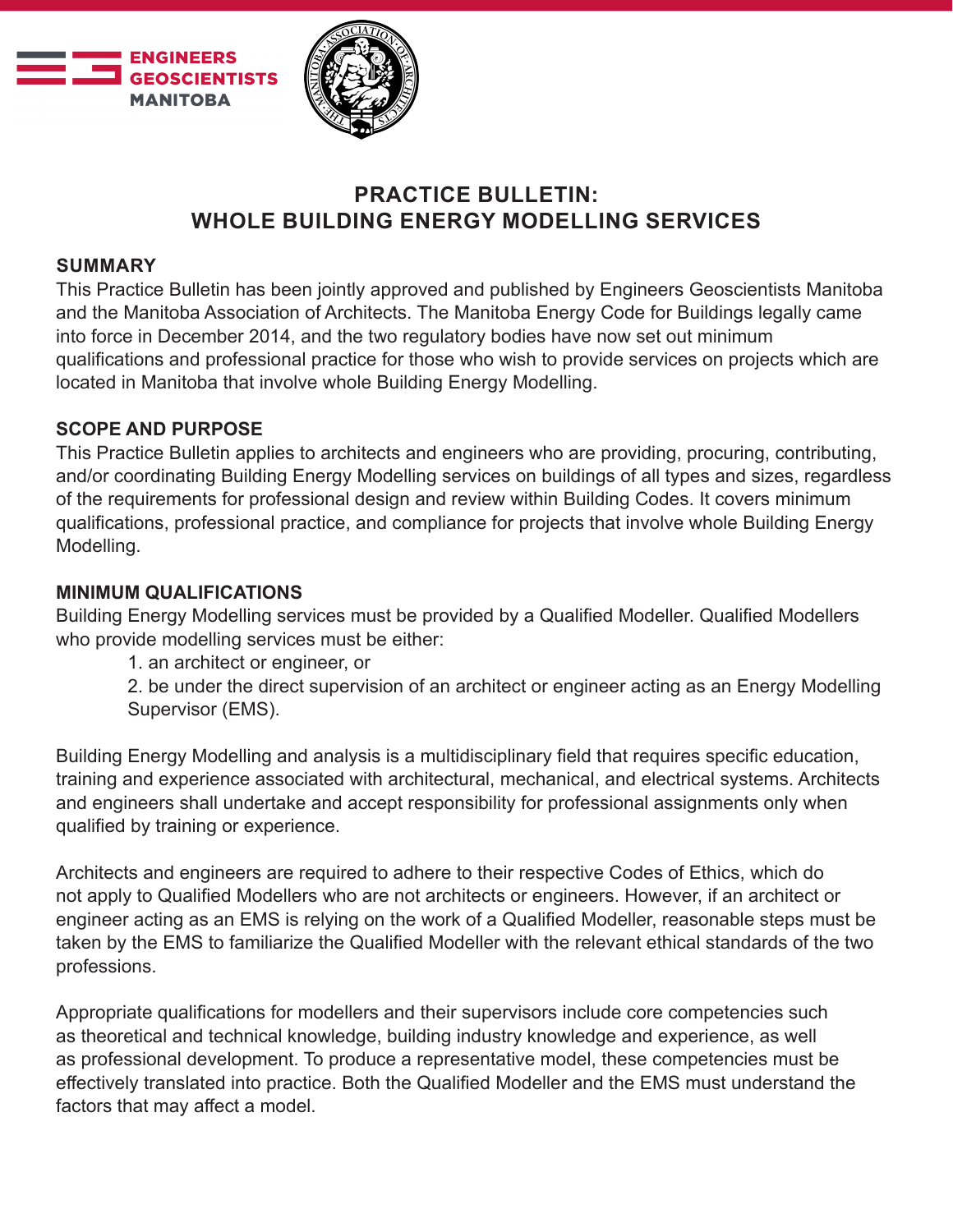



# **PRACTICE BULLETIN: WHOLE BUILDING ENERGY MODELLING SERVICES**

### **SUMMARY**

This Practice Bulletin has been jointly approved and published by Engineers Geoscientists Manitoba and the Manitoba Association of Architects. The Manitoba Energy Code for Buildings legally came into force in December 2014, and the two regulatory bodies have now set out minimum qualifications and professional practice for those who wish to provide services on projects which are located in Manitoba that involve whole Building Energy Modelling.

### **SCOPE AND PURPOSE**

This Practice Bulletin applies to architects and engineers who are providing, procuring, contributing, and/or coordinating Building Energy Modelling services on buildings of all types and sizes, regardless of the requirements for professional design and review within Building Codes. It covers minimum qualifications, professional practice, and compliance for projects that involve whole Building Energy Modelling.

### **MINIMUM QUALIFICATIONS**

Building Energy Modelling services must be provided by a Qualified Modeller. Qualified Modellers who provide modelling services must be either:

1. an architect or engineer, or

2. be under the direct supervision of an architect or engineer acting as an Energy Modelling Supervisor (EMS).

Building Energy Modelling and analysis is a multidisciplinary field that requires specific education, training and experience associated with architectural, mechanical, and electrical systems. Architects and engineers shall undertake and accept responsibility for professional assignments only when qualified by training or experience.

Architects and engineers are required to adhere to their respective Codes of Ethics, which do not apply to Qualified Modellers who are not architects or engineers. However, if an architect or engineer acting as an EMS is relying on the work of a Qualified Modeller, reasonable steps must be taken by the EMS to familiarize the Qualified Modeller with the relevant ethical standards of the two professions.

Appropriate qualifications for modellers and their supervisors include core competencies such as theoretical and technical knowledge, building industry knowledge and experience, as well as professional development. To produce a representative model, these competencies must be effectively translated into practice. Both the Qualified Modeller and the EMS must understand the factors that may affect a model.